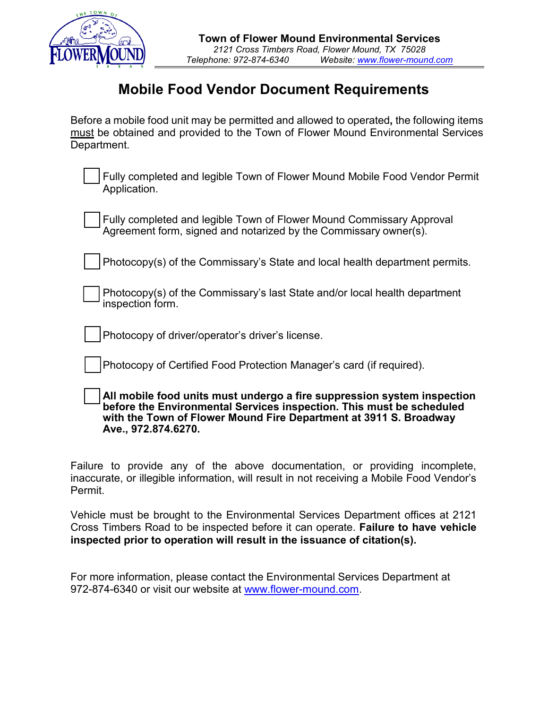

## **Mobile Food Vendor Document Requirements**

Before a mobile food unit may be permitted and allowed to operated**,** the following items must be obtained and provided to the Town of Flower Mound Environmental Services Department.

| Fully completed and legible Town of Flower Mound Mobile Food Vendor Permit |
|----------------------------------------------------------------------------|
| Application.                                                               |

| <b>Fully completed and legible Town of Flower Mound Commissary Approval</b>    |  |
|--------------------------------------------------------------------------------|--|
| $\rightarrow$ Agreement form, signed and notarized by the Commissary owner(s). |  |

|  | Photocopy(s) of the Commissary's State and local health department permits. |
|--|-----------------------------------------------------------------------------|
|--|-----------------------------------------------------------------------------|

| Photocopy(s) of the Commissary's last State and/or local health department |
|----------------------------------------------------------------------------|
| $\rightarrow$ inspection form.                                             |

Photocopy of driver/operator's driver's license.

Photocopy of Certified Food Protection Manager's card (if required).

| All mobile food units must undergo a fire suppression system inspection |
|-------------------------------------------------------------------------|
|                                                                         |
| before the Environmental Services inspection. This must be scheduled    |
| with the Town of Flower Mound Fire Department at 3911 S. Broadway       |
| Ave., 972.874.6270.                                                     |

Failure to provide any of the above documentation, or providing incomplete, inaccurate, or illegible information, will result in not receiving a Mobile Food Vendor's Permit.

Vehicle must be brought to the Environmental Services Department offices at 2121 Cross Timbers Road to be inspected before it can operate. **Failure to have vehicle inspected prior to operation will result in the issuance of citation(s).** 

For more information, please contact the Environmental Services Department at 972-874-6340 or visit our website at [www.flower-mound.com.](http://www.flower-mound.com/)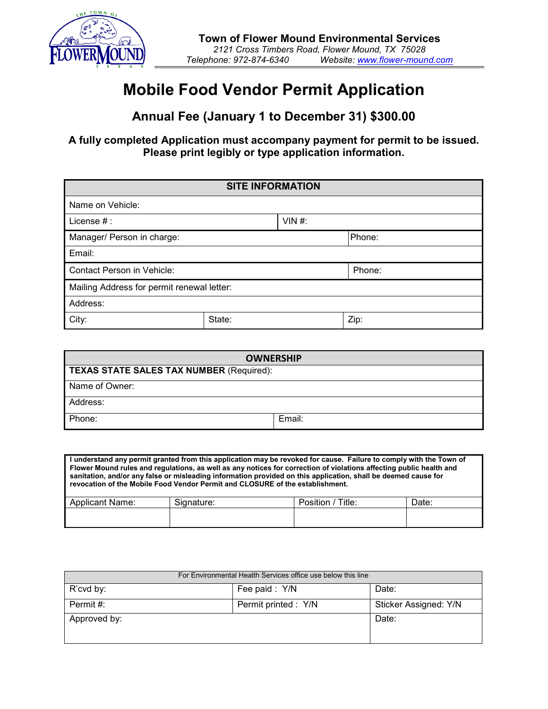

## **Mobile Food Vendor Permit Application**

**Annual Fee (January 1 to December 31) \$300.00**

**A fully completed Application must accompany payment for permit to be issued. Please print legibly or type application information.**

| <b>SITE INFORMATION</b>                    |        |          |        |
|--------------------------------------------|--------|----------|--------|
| Name on Vehicle:                           |        |          |        |
| License $#$ :                              |        | $VIN$ #: |        |
| Manager/ Person in charge:                 |        |          | Phone: |
| Email:                                     |        |          |        |
| Contact Person in Vehicle:                 |        |          | Phone: |
| Mailing Address for permit renewal letter: |        |          |        |
| Address:                                   |        |          |        |
| City:                                      | State: |          | Zip:   |

| <b>OWNERSHIP</b>                                |        |  |  |
|-------------------------------------------------|--------|--|--|
| <b>TEXAS STATE SALES TAX NUMBER (Required):</b> |        |  |  |
| Name of Owner:                                  |        |  |  |
| Address:                                        |        |  |  |
| Phone:                                          | Email: |  |  |

| I understand any permit granted from this application may be revoked for cause. Failure to comply with the Town of<br>Flower Mound rules and regulations, as well as any notices for correction of violations affecting public health and<br>sanitation, and/or any false or misleading information provided on this application, shall be deemed cause for<br>revocation of the Mobile Food Vendor Permit and CLOSURE of the establishment. |            |                   |       |  |  |
|----------------------------------------------------------------------------------------------------------------------------------------------------------------------------------------------------------------------------------------------------------------------------------------------------------------------------------------------------------------------------------------------------------------------------------------------|------------|-------------------|-------|--|--|
| Applicant Name:                                                                                                                                                                                                                                                                                                                                                                                                                              | Signature: | Position / Title: | Date: |  |  |
|                                                                                                                                                                                                                                                                                                                                                                                                                                              |            |                   |       |  |  |

| For Environmental Health Services office use below this line |                      |                       |  |  |
|--------------------------------------------------------------|----------------------|-----------------------|--|--|
| R'cvd by:                                                    | Fee paid: Y/N        | Date:                 |  |  |
| Permit #:                                                    | Permit printed : Y/N | Sticker Assigned: Y/N |  |  |
| Approved by:                                                 |                      | Date:                 |  |  |